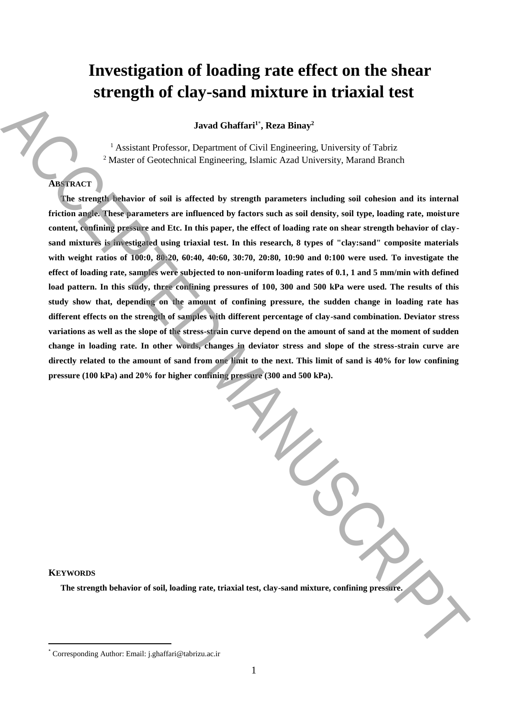# **Investigation of loading rate effect on the shear strength of clay-sand mixture in triaxial test**

**Javad Ghaffari<sup>1</sup>**\* **, Reza Binay<sup>2</sup>**

<sup>1</sup> Assistant Professor, Department of Civil Engineering, University of Tabriz <sup>2</sup> Master of Geotechnical Engineering, Islamic Azad University, Marand Branch

# **ABSTRACT**

**The strength behavior of soil is affected by strength parameters including soil cohesion and its internal friction angle. These parameters are influenced by factors such as soil density, soil type, loading rate, moisture content, confining pressure and Etc. In this paper, the effect of loading rate on shear strength behavior of claysand mixtures is investigated using triaxial test. In this research, 8 types of "clay:sand" composite materials with weight ratios of 100:0, 80:20, 60:40, 40:60, 30:70, 20:80, 10:90 and 0:100 were used. To investigate the effect of loading rate, samples were subjected to non-uniform loading rates of 0.1, 1 and 5 mm/min with defined load pattern. In this study, three confining pressures of 100, 300 and 500 kPa were used. The results of this study show that, depending on the amount of confining pressure, the sudden change in loading rate has different effects on the strength of samples with different percentage of clay-sand combination. Deviator stress variations as well as the slope of the stress-strain curve depend on the amount of sand at the moment of sudden change in loading rate. In other words, changes in deviator stress and slope of the stress-strain curve are directly related to the amount of sand from one limit to the next. This limit of sand is 40% for low confining pressure (100 kPa) and 20% for higher confining pressure (300 and 500 kPa).** Accession Professor, Department of Civil Engineering, Divisorsity of Tabrachemes.<br>
Accession Professor, Department of Civil Engineering, Divisorsity of Tabrachemes.<br>
ACCESSING The accessories and is a directed by strength

## **KEYWORDS**

 $\overline{a}$ 

**The strength behavior of soil, loading rate, triaxial test, clay-sand mixture, confining pressure.**

<sup>\*</sup> Corresponding Author: Email: j.ghaffari@tabrizu.ac.ir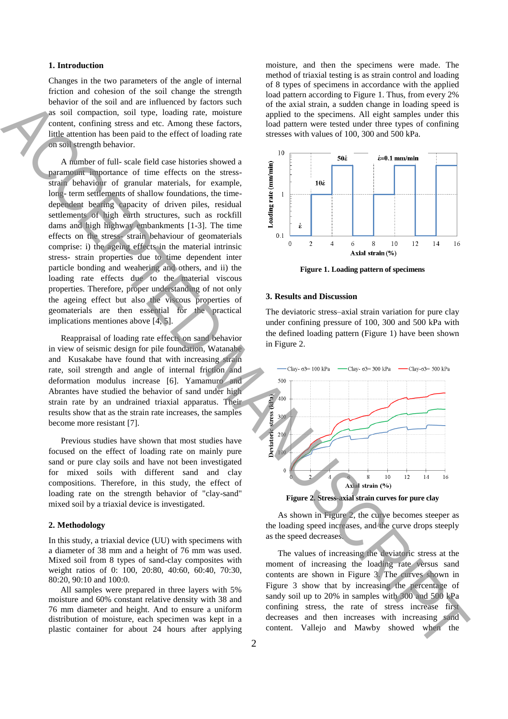## **1. Introduction**

Changes in the two parameters of the angle of internal friction and cohesion of the soil change the strength behavior of the soil and are influenced by factors such as soil compaction, soil type, loading rate, moisture content, confining stress and etc. Among these factors, little attention has been paid to the effect of loading rate on soil strength behavior.

A number of full- scale field case histories showed a paramount importance of time effects on the stressstrain behaviour of granular materials, for example, long- term settlements of shallow foundations, the timedependent bearing capacity of driven piles, residual settlements of high earth structures, such as rockfill dams and high highway embankments [1-3]. The time effects on the stress- strain behaviour of geomaterials comprise: i) the ageing effects in the material intrinsic stress- strain properties due to time dependent inter particle bonding and weahering and others, and ii) the loading rate effects due to the material viscous properties. Therefore, proper understanding of not only the ageing effect but also the viscous properties of geomaterials are then essential for the practical implications mentiones above [4, 5]. behavior of the solid and included from the effect of the content of the solid state is the content of the content of the content of the content of the content of the effect of boxing interest. The content of the effect o

Reappraisal of loading rate effects on sand behavior in view of seismic design for pile foundation, Watanabe and Kusakabe have found that with increasing strain rate, soil strength and angle of internal friction and deformation modulus increase [6]. Yamamuro and Abrantes have studied the behavior of sand under high strain rate by an undrained triaxial apparatus. Their results show that as the strain rate increases, the samples become more resistant [7].

Previous studies have shown that most studies have focused on the effect of loading rate on mainly pure sand or pure clay soils and have not been investigated for mixed soils with different sand and clay compositions. Therefore, in this study, the effect of loading rate on the strength behavior of "clay-sand" mixed soil by a triaxial device is investigated.

#### **2. Methodology**

In this study, a triaxial device (UU) with specimens with a diameter of 38 mm and a height of 76 mm was used. Mixed soil from 8 types of sand-clay composites with weight ratios of 0: 100, 20:80, 40:60, 60:40, 70:30, 80:20, 90:10 and 100:0.

All samples were prepared in three layers with 5% moisture and 60% constant relative density with 38 and 76 mm diameter and height. And to ensure a uniform distribution of moisture, each specimen was kept in a plastic container for about 24 hours after applying moisture, and then the specimens were made. The method of triaxial testing is as strain control and loading of 8 types of specimens in accordance with the applied load pattern according to Figure 1. Thus, from every 2% of the axial strain, a sudden change in loading speed is applied to the specimens. All eight samples under this load pattern were tested under three types of confining stresses with values of 100, 300 and 500 kPa.



**Figure 1. Loading pattern of specimens**

# **3. Results and Discussion**

The deviatoric stress–axial strain variation for pure clay under confining pressure of 100, 300 and 500 kPa with the defined loading pattern (Figure 1) have been shown in Figure 2.



**Figure 2. Stress-axial strain curves for pure clay**

As shown in Figure 2, the curve becomes steeper as the loading speed increases, and the curve drops steeply as the speed decreases.

The values of increasing the deviatoric stress at the moment of increasing the loading rate versus sand contents are shown in Figure 3. The curves shown in Figure 3 show that by increasing the percentage of sandy soil up to 20% in samples with 300 and 500 kPa confining stress, the rate of stress increase first decreases and then increases with increasing sand